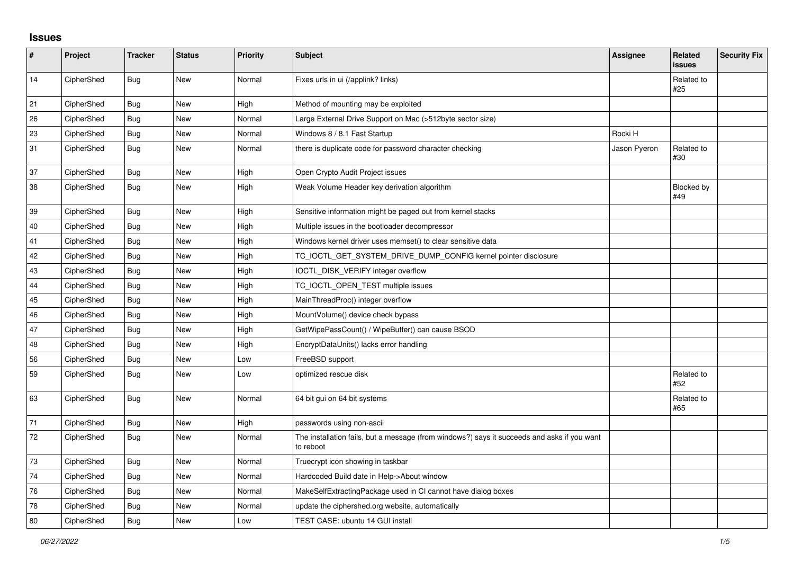## **Issues**

| $\sharp$ | Project    | <b>Tracker</b> | <b>Status</b> | Priority | Subject                                                                                                  | <b>Assignee</b> | <b>Related</b><br><b>issues</b> | <b>Security Fix</b> |
|----------|------------|----------------|---------------|----------|----------------------------------------------------------------------------------------------------------|-----------------|---------------------------------|---------------------|
| 14       | CipherShed | <b>Bug</b>     | New           | Normal   | Fixes urls in ui (/applink? links)                                                                       |                 | Related to<br>#25               |                     |
| 21       | CipherShed | Bug            | <b>New</b>    | High     | Method of mounting may be exploited                                                                      |                 |                                 |                     |
| 26       | CipherShed | <b>Bug</b>     | <b>New</b>    | Normal   | Large External Drive Support on Mac (>512byte sector size)                                               |                 |                                 |                     |
| 23       | CipherShed | <b>Bug</b>     | <b>New</b>    | Normal   | Windows 8 / 8.1 Fast Startup                                                                             | Rocki H         |                                 |                     |
| 31       | CipherShed | Bug            | New           | Normal   | there is duplicate code for password character checking                                                  | Jason Pyeron    | Related to<br>#30               |                     |
| 37       | CipherShed | Bug            | New           | High     | Open Crypto Audit Project issues                                                                         |                 |                                 |                     |
| 38       | CipherShed | <b>Bug</b>     | New           | High     | Weak Volume Header key derivation algorithm                                                              |                 | Blocked by<br>#49               |                     |
| 39       | CipherShed | <b>Bug</b>     | <b>New</b>    | High     | Sensitive information might be paged out from kernel stacks                                              |                 |                                 |                     |
| 40       | CipherShed | <b>Bug</b>     | <b>New</b>    | High     | Multiple issues in the bootloader decompressor                                                           |                 |                                 |                     |
| 41       | CipherShed | Bug            | New           | High     | Windows kernel driver uses memset() to clear sensitive data                                              |                 |                                 |                     |
| 42       | CipherShed | <b>Bug</b>     | New           | High     | TC_IOCTL_GET_SYSTEM_DRIVE_DUMP_CONFIG kernel pointer disclosure                                          |                 |                                 |                     |
| 43       | CipherShed | <b>Bug</b>     | New           | High     | IOCTL_DISK_VERIFY integer overflow                                                                       |                 |                                 |                     |
| 44       | CipherShed | <b>Bug</b>     | New           | High     | TC_IOCTL_OPEN_TEST multiple issues                                                                       |                 |                                 |                     |
| 45       | CipherShed | Bug            | New           | High     | MainThreadProc() integer overflow                                                                        |                 |                                 |                     |
| 46       | CipherShed | Bug            | <b>New</b>    | High     | MountVolume() device check bypass                                                                        |                 |                                 |                     |
| 47       | CipherShed | <b>Bug</b>     | New           | High     | GetWipePassCount() / WipeBuffer() can cause BSOD                                                         |                 |                                 |                     |
| 48       | CipherShed | Bug            | New           | High     | EncryptDataUnits() lacks error handling                                                                  |                 |                                 |                     |
| 56       | CipherShed | Bug            | <b>New</b>    | Low      | FreeBSD support                                                                                          |                 |                                 |                     |
| 59       | CipherShed | Bug            | New           | Low      | optimized rescue disk                                                                                    |                 | Related to<br>#52               |                     |
| 63       | CipherShed | <b>Bug</b>     | New           | Normal   | 64 bit gui on 64 bit systems                                                                             |                 | Related to<br>#65               |                     |
| $71$     | CipherShed | <b>Bug</b>     | New           | High     | passwords using non-ascii                                                                                |                 |                                 |                     |
| 72       | CipherShed | Bug            | New           | Normal   | The installation fails, but a message (from windows?) says it succeeds and asks if you want<br>to reboot |                 |                                 |                     |
| 73       | CipherShed | <b>Bug</b>     | <b>New</b>    | Normal   | Truecrypt icon showing in taskbar                                                                        |                 |                                 |                     |
| 74       | CipherShed | <b>Bug</b>     | New           | Normal   | Hardcoded Build date in Help->About window                                                               |                 |                                 |                     |
| 76       | CipherShed | <b>Bug</b>     | New           | Normal   | MakeSelfExtractingPackage used in CI cannot have dialog boxes                                            |                 |                                 |                     |
| 78       | CipherShed | Bug            | <b>New</b>    | Normal   | update the ciphershed.org website, automatically                                                         |                 |                                 |                     |
| 80       | CipherShed | Bug            | New           | Low      | TEST CASE: ubuntu 14 GUI install                                                                         |                 |                                 |                     |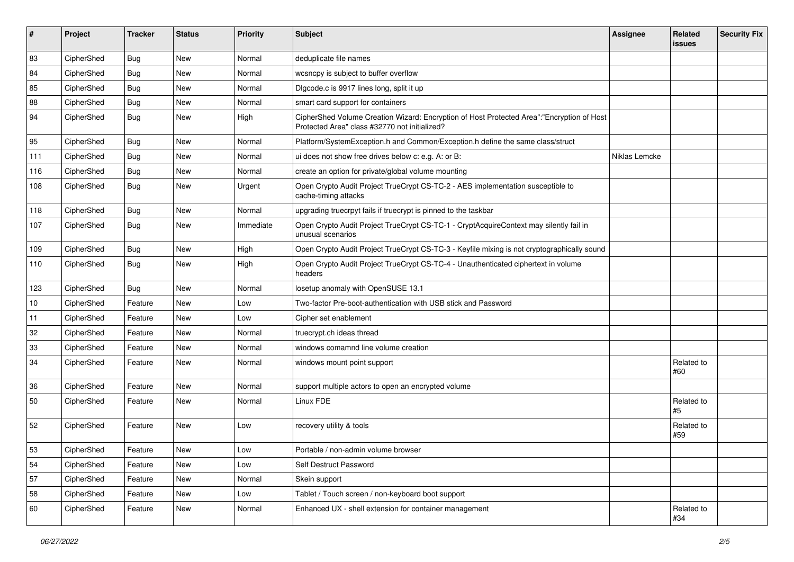| #   | Project    | <b>Tracker</b> | <b>Status</b> | Priority  | Subject                                                                                                                                    | <b>Assignee</b> | Related<br>issues | <b>Security Fix</b> |
|-----|------------|----------------|---------------|-----------|--------------------------------------------------------------------------------------------------------------------------------------------|-----------------|-------------------|---------------------|
| 83  | CipherShed | <b>Bug</b>     | New           | Normal    | deduplicate file names                                                                                                                     |                 |                   |                     |
| 84  | CipherShed | <b>Bug</b>     | New           | Normal    | wcsncpy is subject to buffer overflow                                                                                                      |                 |                   |                     |
| 85  | CipherShed | Bug            | New           | Normal    | Digcode.c is 9917 lines long, split it up                                                                                                  |                 |                   |                     |
| 88  | CipherShed | <b>Bug</b>     | New           | Normal    | smart card support for containers                                                                                                          |                 |                   |                     |
| 94  | CipherShed | Bug            | New           | High      | CipherShed Volume Creation Wizard: Encryption of Host Protected Area":"Encryption of Host<br>Protected Area" class #32770 not initialized? |                 |                   |                     |
| 95  | CipherShed | Bug            | New           | Normal    | Platform/SystemException.h and Common/Exception.h define the same class/struct                                                             |                 |                   |                     |
| 111 | CipherShed | Bug            | New           | Normal    | ui does not show free drives below c: e.g. A: or B:                                                                                        | Niklas Lemcke   |                   |                     |
| 116 | CipherShed | <b>Bug</b>     | New           | Normal    | create an option for private/global volume mounting                                                                                        |                 |                   |                     |
| 108 | CipherShed | Bug            | New           | Urgent    | Open Crypto Audit Project TrueCrypt CS-TC-2 - AES implementation susceptible to<br>cache-timing attacks                                    |                 |                   |                     |
| 118 | CipherShed | <b>Bug</b>     | New           | Normal    | upgrading truecrpyt fails if truecrypt is pinned to the taskbar                                                                            |                 |                   |                     |
| 107 | CipherShed | Bug            | New           | Immediate | Open Crypto Audit Project TrueCrypt CS-TC-1 - CryptAcquireContext may silently fail in<br>unusual scenarios                                |                 |                   |                     |
| 109 | CipherShed | <b>Bug</b>     | New           | High      | Open Crypto Audit Project TrueCrypt CS-TC-3 - Keyfile mixing is not cryptographically sound                                                |                 |                   |                     |
| 110 | CipherShed | Bug            | New           | High      | Open Crypto Audit Project TrueCrypt CS-TC-4 - Unauthenticated ciphertext in volume<br>headers                                              |                 |                   |                     |
| 123 | CipherShed | <b>Bug</b>     | New           | Normal    | losetup anomaly with OpenSUSE 13.1                                                                                                         |                 |                   |                     |
| 10  | CipherShed | Feature        | New           | Low       | Two-factor Pre-boot-authentication with USB stick and Password                                                                             |                 |                   |                     |
| 11  | CipherShed | Feature        | New           | Low       | Cipher set enablement                                                                                                                      |                 |                   |                     |
| 32  | CipherShed | Feature        | New           | Normal    | truecrypt.ch ideas thread                                                                                                                  |                 |                   |                     |
| 33  | CipherShed | Feature        | New           | Normal    | windows comamnd line volume creation                                                                                                       |                 |                   |                     |
| 34  | CipherShed | Feature        | New           | Normal    | windows mount point support                                                                                                                |                 | Related to<br>#60 |                     |
| 36  | CipherShed | Feature        | <b>New</b>    | Normal    | support multiple actors to open an encrypted volume                                                                                        |                 |                   |                     |
| 50  | CipherShed | Feature        | New           | Normal    | Linux FDE                                                                                                                                  |                 | Related to<br>#5  |                     |
| 52  | CipherShed | Feature        | New           | Low       | recovery utility & tools                                                                                                                   |                 | Related to<br>#59 |                     |
| 53  | CipherShed | Feature        | New           | Low       | Portable / non-admin volume browser                                                                                                        |                 |                   |                     |
| 54  | CipherShed | Feature        | New           | Low       | Self Destruct Password                                                                                                                     |                 |                   |                     |
| 57  | CipherShed | Feature        | New           | Normal    | Skein support                                                                                                                              |                 |                   |                     |
| 58  | CipherShed | Feature        | New           | Low       | Tablet / Touch screen / non-keyboard boot support                                                                                          |                 |                   |                     |
| 60  | CipherShed | Feature        | New           | Normal    | Enhanced UX - shell extension for container management                                                                                     |                 | Related to<br>#34 |                     |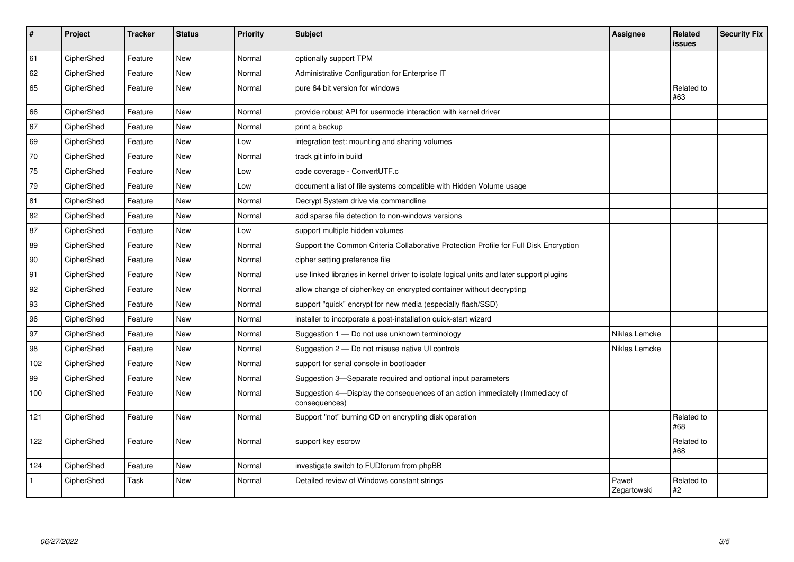| $\vert$ #    | Project    | <b>Tracker</b> | <b>Status</b> | Priority | <b>Subject</b>                                                                                | <b>Assignee</b>      | Related<br><b>issues</b> | <b>Security Fix</b> |
|--------------|------------|----------------|---------------|----------|-----------------------------------------------------------------------------------------------|----------------------|--------------------------|---------------------|
| 61           | CipherShed | Feature        | <b>New</b>    | Normal   | optionally support TPM                                                                        |                      |                          |                     |
| 62           | CipherShed | Feature        | <b>New</b>    | Normal   | Administrative Configuration for Enterprise IT                                                |                      |                          |                     |
| 65           | CipherShed | Feature        | <b>New</b>    | Normal   | pure 64 bit version for windows                                                               |                      | Related to<br>#63        |                     |
| 66           | CipherShed | Feature        | <b>New</b>    | Normal   | provide robust API for usermode interaction with kernel driver                                |                      |                          |                     |
| 67           | CipherShed | Feature        | <b>New</b>    | Normal   | print a backup                                                                                |                      |                          |                     |
| 69           | CipherShed | Feature        | New           | Low      | integration test: mounting and sharing volumes                                                |                      |                          |                     |
| 70           | CipherShed | Feature        | <b>New</b>    | Normal   | track git info in build                                                                       |                      |                          |                     |
| 75           | CipherShed | Feature        | <b>New</b>    | Low      | code coverage - ConvertUTF.c                                                                  |                      |                          |                     |
| 79           | CipherShed | Feature        | New           | Low      | document a list of file systems compatible with Hidden Volume usage                           |                      |                          |                     |
| 81           | CipherShed | Feature        | <b>New</b>    | Normal   | Decrypt System drive via commandline                                                          |                      |                          |                     |
| 82           | CipherShed | Feature        | <b>New</b>    | Normal   | add sparse file detection to non-windows versions                                             |                      |                          |                     |
| 87           | CipherShed | Feature        | <b>New</b>    | Low      | support multiple hidden volumes                                                               |                      |                          |                     |
| 89           | CipherShed | Feature        | <b>New</b>    | Normal   | Support the Common Criteria Collaborative Protection Profile for Full Disk Encryption         |                      |                          |                     |
| 90           | CipherShed | Feature        | <b>New</b>    | Normal   | cipher setting preference file                                                                |                      |                          |                     |
| 91           | CipherShed | Feature        | <b>New</b>    | Normal   | use linked libraries in kernel driver to isolate logical units and later support plugins      |                      |                          |                     |
| 92           | CipherShed | Feature        | <b>New</b>    | Normal   | allow change of cipher/key on encrypted container without decrypting                          |                      |                          |                     |
| 93           | CipherShed | Feature        | New           | Normal   | support "quick" encrypt for new media (especially flash/SSD)                                  |                      |                          |                     |
| 96           | CipherShed | Feature        | New           | Normal   | installer to incorporate a post-installation quick-start wizard                               |                      |                          |                     |
| 97           | CipherShed | Feature        | <b>New</b>    | Normal   | Suggestion 1 - Do not use unknown terminology                                                 | Niklas Lemcke        |                          |                     |
| 98           | CipherShed | Feature        | New           | Normal   | Suggestion 2 - Do not misuse native UI controls                                               | Niklas Lemcke        |                          |                     |
| 102          | CipherShed | Feature        | New           | Normal   | support for serial console in bootloader                                                      |                      |                          |                     |
| 99           | CipherShed | Feature        | <b>New</b>    | Normal   | Suggestion 3-Separate required and optional input parameters                                  |                      |                          |                     |
| 100          | CipherShed | Feature        | New           | Normal   | Suggestion 4-Display the consequences of an action immediately (Immediacy of<br>consequences) |                      |                          |                     |
| 121          | CipherShed | Feature        | New           | Normal   | Support "not" burning CD on encrypting disk operation                                         |                      | Related to<br>#68        |                     |
| 122          | CipherShed | Feature        | New           | Normal   | support key escrow                                                                            |                      | Related to<br>#68        |                     |
| 124          | CipherShed | Feature        | <b>New</b>    | Normal   | investigate switch to FUDforum from phpBB                                                     |                      |                          |                     |
| $\mathbf{1}$ | CipherShed | Task           | <b>New</b>    | Normal   | Detailed review of Windows constant strings                                                   | Paweł<br>Zegartowski | Related to<br>#2         |                     |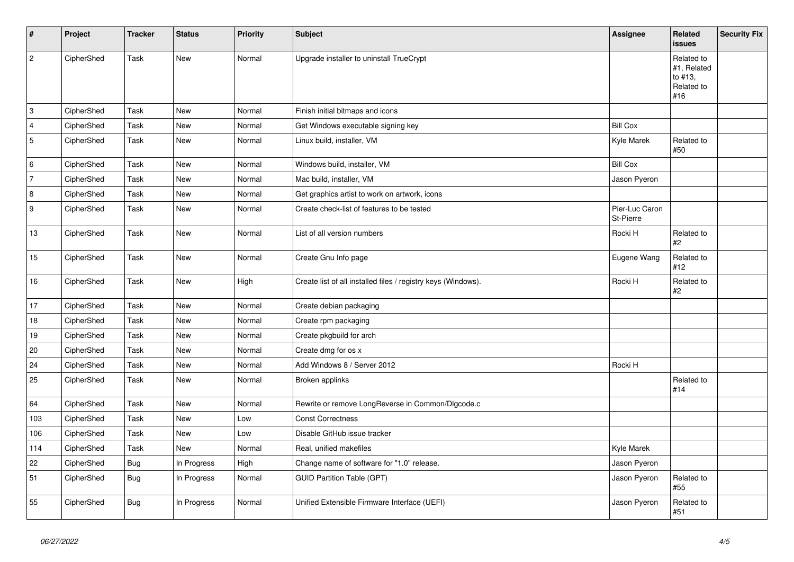| $\sharp$       | Project    | <b>Tracker</b> | <b>Status</b> | <b>Priority</b> | <b>Subject</b>                                                | <b>Assignee</b>             | <b>Related</b><br><b>issues</b>                           | <b>Security Fix</b> |
|----------------|------------|----------------|---------------|-----------------|---------------------------------------------------------------|-----------------------------|-----------------------------------------------------------|---------------------|
| $\sqrt{2}$     | CipherShed | Task           | <b>New</b>    | Normal          | Upgrade installer to uninstall TrueCrypt                      |                             | Related to<br>#1, Related<br>to #13,<br>Related to<br>#16 |                     |
| $\overline{3}$ | CipherShed | Task           | <b>New</b>    | Normal          | Finish initial bitmaps and icons                              |                             |                                                           |                     |
| $\overline{4}$ | CipherShed | Task           | <b>New</b>    | Normal          | Get Windows executable signing key                            | <b>Bill Cox</b>             |                                                           |                     |
| 5              | CipherShed | Task           | <b>New</b>    | Normal          | Linux build, installer, VM                                    | Kyle Marek                  | Related to<br>#50                                         |                     |
| 6              | CipherShed | Task           | New           | Normal          | Windows build, installer, VM                                  | <b>Bill Cox</b>             |                                                           |                     |
| $\overline{7}$ | CipherShed | Task           | New           | Normal          | Mac build, installer, VM                                      | Jason Pyeron                |                                                           |                     |
| 8              | CipherShed | Task           | New           | Normal          | Get graphics artist to work on artwork, icons                 |                             |                                                           |                     |
| 9              | CipherShed | Task           | New           | Normal          | Create check-list of features to be tested                    | Pier-Luc Caron<br>St-Pierre |                                                           |                     |
| 13             | CipherShed | Task           | <b>New</b>    | Normal          | List of all version numbers                                   | Rocki H                     | Related to<br>#2                                          |                     |
| 15             | CipherShed | Task           | <b>New</b>    | Normal          | Create Gnu Info page                                          | Eugene Wang                 | Related to<br>#12                                         |                     |
| 16             | CipherShed | Task           | <b>New</b>    | High            | Create list of all installed files / registry keys (Windows). | Rocki H                     | Related to<br>#2                                          |                     |
| 17             | CipherShed | Task           | New           | Normal          | Create debian packaging                                       |                             |                                                           |                     |
| 18             | CipherShed | Task           | New           | Normal          | Create rpm packaging                                          |                             |                                                           |                     |
| 19             | CipherShed | Task           | New           | Normal          | Create pkgbuild for arch                                      |                             |                                                           |                     |
| 20             | CipherShed | Task           | <b>New</b>    | Normal          | Create dmg for os x                                           |                             |                                                           |                     |
| 24             | CipherShed | Task           | <b>New</b>    | Normal          | Add Windows 8 / Server 2012                                   | Rocki H                     |                                                           |                     |
| 25             | CipherShed | Task           | <b>New</b>    | Normal          | Broken applinks                                               |                             | Related to<br>#14                                         |                     |
| 64             | CipherShed | Task           | <b>New</b>    | Normal          | Rewrite or remove LongReverse in Common/Dlgcode.c             |                             |                                                           |                     |
| 103            | CipherShed | Task           | <b>New</b>    | Low             | <b>Const Correctness</b>                                      |                             |                                                           |                     |
| 106            | CipherShed | Task           | <b>New</b>    | Low             | Disable GitHub issue tracker                                  |                             |                                                           |                     |
| 114            | CipherShed | Task           | <b>New</b>    | Normal          | Real, unified makefiles                                       | Kyle Marek                  |                                                           |                     |
| 22             | CipherShed | Bug            | In Progress   | High            | Change name of software for "1.0" release.                    | Jason Pyeron                |                                                           |                     |
| 51             | CipherShed | <b>Bug</b>     | In Progress   | Normal          | <b>GUID Partition Table (GPT)</b>                             | Jason Pyeron                | Related to<br>#55                                         |                     |
| 55             | CipherShed | Bug            | In Progress   | Normal          | Unified Extensible Firmware Interface (UEFI)                  | Jason Pyeron                | Related to<br>#51                                         |                     |